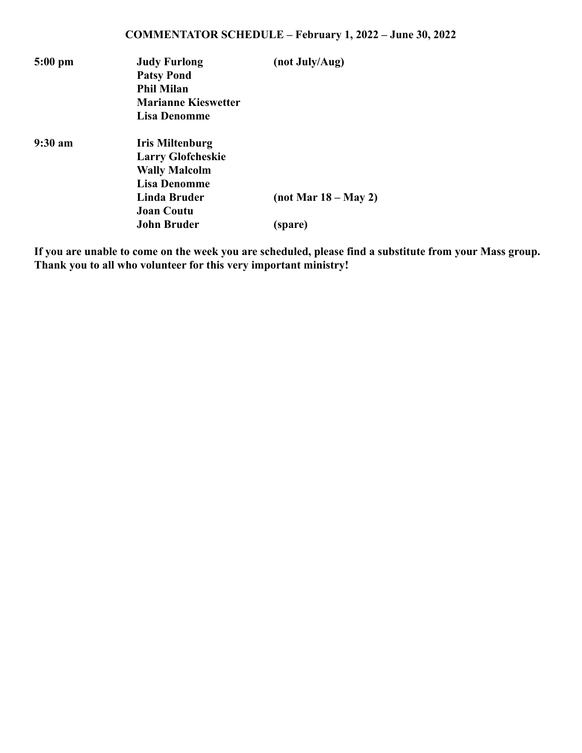| $5:00 \text{ pm}$ | <b>Judy Furlong</b><br><b>Patsy Pond</b><br><b>Phil Milan</b><br><b>Marianne Kieswetter</b><br>Lisa Denomme                            | (not July/Aug)                  |
|-------------------|----------------------------------------------------------------------------------------------------------------------------------------|---------------------------------|
| $9:30$ am         | <b>Iris Miltenburg</b><br><b>Larry Glofcheskie</b><br><b>Wally Malcolm</b><br><b>Lisa Denomme</b><br>Linda Bruder<br><b>Joan Coutu</b> | $(not \, Mar \, 18 - May \, 2)$ |
|                   | <b>John Bruder</b>                                                                                                                     | (spare)                         |

**If you are unable to come on the week you are scheduled, please find a substitute from your Mass group. Thank you to all who volunteer for this very important ministry!**